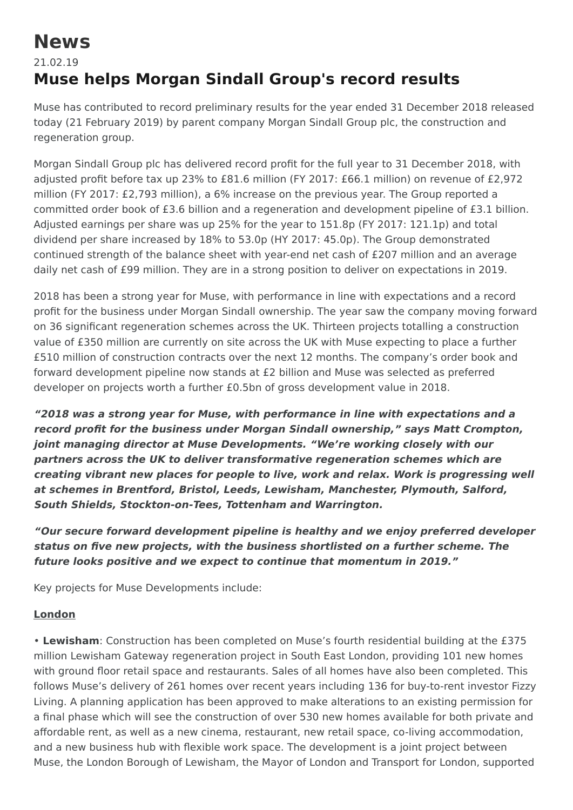# **News**

# 21.02.19 **Muse helps Morgan Sindall Group's record results**

Muse has contributed to record preliminary results for the year ended 31 December 2018 released today (21 February 2019) by parent company Morgan Sindall Group plc, the construction and regeneration group.

Morgan Sindall Group plc has delivered record profit for the full year to 31 December 2018, with adjusted profit before tax up 23% to £81.6 million (FY 2017: £66.1 million) on revenue of £2,972 million (FY 2017: £2,793 million), a 6% increase on the previous year. The Group reported a committed order book of £3.6 billion and a regeneration and development pipeline of £3.1 billion. Adjusted earnings per share was up 25% for the year to 151.8p (FY 2017: 121.1p) and total dividend per share increased by 18% to 53.0p (HY 2017: 45.0p). The Group demonstrated continued strength of the balance sheet with year-end net cash of £207 million and an average daily net cash of £99 million. They are in a strong position to deliver on expectations in 2019.

2018 has been a strong year for Muse, with performance in line with expectations and a record profit for the business under Morgan Sindall ownership. The year saw the company moving forward on 36 significant regeneration schemes across the UK. Thirteen projects totalling a construction value of £350 million are currently on site across the UK with Muse expecting to place a further £510 million of construction contracts over the next 12 months. The company's order book and forward development pipeline now stands at £2 billion and Muse was selected as preferred developer on projects worth a further £0.5bn of gross development value in 2018.

**"2018 was a strong year for Muse, with performance in line with expectations and a record profit for the business under Morgan Sindall ownership," says Matt Crompton, joint managing director at Muse Developments. "We're working closely with our partners across the UK to deliver transformative regeneration schemes which are creating vibrant new places for people to live, work and relax. Work is progressing well at schemes in Brentford, Bristol, Leeds, Lewisham, Manchester, Plymouth, Salford, South Shields, Stockton-on-Tees, Tottenham and Warrington.**

**"Our secure forward development pipeline is healthy and we enjoy preferred developer status on five new projects, with the business shortlisted on a further scheme. The future looks positive and we expect to continue that momentum in 2019."**

Key projects for Muse Developments include:

# **London**

• **Lewisham**: Construction has been completed on Muse's fourth residential building at the £375 million Lewisham Gateway regeneration project in South East London, providing 101 new homes with ground floor retail space and restaurants. Sales of all homes have also been completed. This follows Muse's delivery of 261 homes over recent years including 136 for buy-to-rent investor Fizzy Living. A planning application has been approved to make alterations to an existing permission for a final phase which will see the construction of over 530 new homes available for both private and affordable rent, as well as a new cinema, restaurant, new retail space, co-living accommodation, and a new business hub with flexible work space. The development is a joint project between Muse, the London Borough of Lewisham, the Mayor of London and Transport for London, supported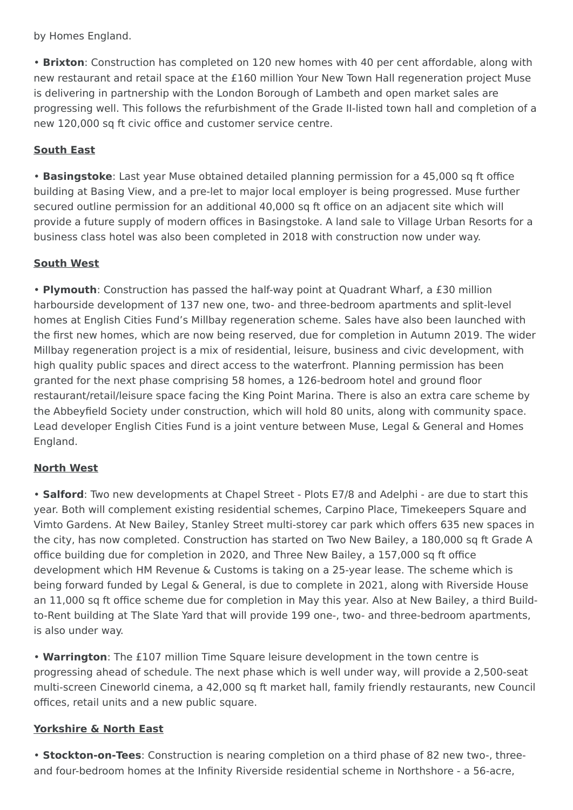by Homes England.

• **Brixton**: Construction has completed on 120 new homes with 40 per cent affordable, along with new restaurant and retail space at the £160 million Your New Town Hall regeneration project Muse is delivering in partnership with the London Borough of Lambeth and open market sales are progressing well. This follows the refurbishment of the Grade II-listed town hall and completion of a new 120,000 sq ft civic office and customer service centre.

# **South East**

• **Basingstoke**: Last year Muse obtained detailed planning permission for a 45,000 sq ft office building at Basing View, and a pre-let to major local employer is being progressed. Muse further secured outline permission for an additional 40,000 sq ft office on an adjacent site which will provide a future supply of modern offices in Basingstoke. A land sale to Village Urban Resorts for a business class hotel was also been completed in 2018 with construction now under way.

#### **South West**

• **Plymouth**: Construction has passed the half-way point at Quadrant Wharf, a £30 million harbourside development of 137 new one, two- and three-bedroom apartments and split-level homes at English Cities Fund's Millbay regeneration scheme. Sales have also been launched with the first new homes, which are now being reserved, due for completion in Autumn 2019. The wider Millbay regeneration project is a mix of residential, leisure, business and civic development, with high quality public spaces and direct access to the waterfront. Planning permission has been granted for the next phase comprising 58 homes, a 126-bedroom hotel and ground floor restaurant/retail/leisure space facing the King Point Marina. There is also an extra care scheme by the Abbeyfield Society under construction, which will hold 80 units, along with community space. Lead developer English Cities Fund is a joint venture between Muse, Legal & General and Homes England.

#### **North West**

• **Salford**: Two new developments at Chapel Street - Plots E7/8 and Adelphi - are due to start this year. Both will complement existing residential schemes, Carpino Place, Timekeepers Square and Vimto Gardens. At New Bailey, Stanley Street multi-storey car park which offers 635 new spaces in the city, has now completed. Construction has started on Two New Bailey, a 180,000 sq ft Grade A office building due for completion in 2020, and Three New Bailey, a 157,000 sq ft office development which HM Revenue & Customs is taking on a 25-year lease. The scheme which is being forward funded by Legal & General, is due to complete in 2021, along with Riverside House an 11,000 sq ft office scheme due for completion in May this year. Also at New Bailey, a third Buildto-Rent building at The Slate Yard that will provide 199 one-, two- and three-bedroom apartments, is also under way.

• **Warrington**: The £107 million Time Square leisure development in the town centre is progressing ahead of schedule. The next phase which is well under way, will provide a 2,500-seat multi-screen Cineworld cinema, a 42,000 sq ft market hall, family friendly restaurants, new Council offices, retail units and a new public square.

## **Yorkshire & North East**

• **Stockton-on-Tees**: Construction is nearing completion on a third phase of 82 new two-, threeand four-bedroom homes at the Infinity Riverside residential scheme in Northshore - a 56-acre,